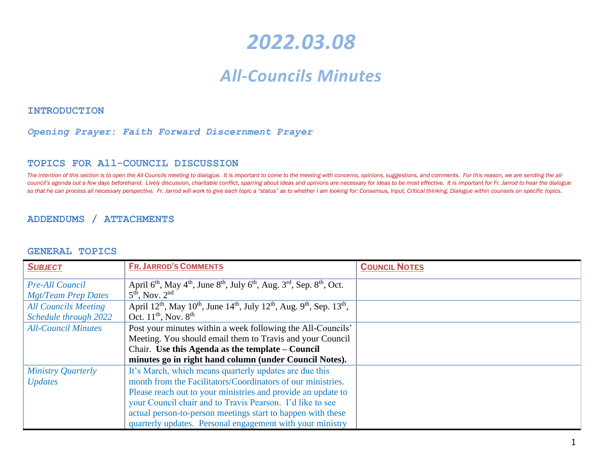# *2022.03.08*

# *All-Councils Minutes*

**INTRODUCTION** 

#### *Opening Prayer: Faith Forward Discernment Prayer*

#### **TOPICS FOR All-COUNCIL DISCUSSION**

The intention of this section is to open the All-Councils meeting to dialogue. It is important to come to the meeting with concerns, opinions, suggestions, and comments. For this reason, we are sending the allcouncil's agenda out a few days beforehand. Lively discussion, charitable conflict, sparring about ideas and opinions are necessary for ideas to be most effective. It is important for Fr. Jarrod to hear the dialogue so that he can process all necessary perspective. Fr. Jarrod will work to give each topic a "status" as to whether I am looking for: Consensus, Input, Critical thinking, Dialogue within counsels on specific topics.

#### **ADDENDUMS / ATTACHMENTS**

#### **GENERAL TOPICS**

| <b>SUBJECT</b>                                       | <b>FR. JARROD'S COMMENTS</b>                                                                                                                                                     | <b>COUNCIL NOTES</b> |
|------------------------------------------------------|----------------------------------------------------------------------------------------------------------------------------------------------------------------------------------|----------------------|
| <b>Pre-All Council</b><br><b>Mgt/Team Prep Dates</b> | April $6th$ , May $4th$ , June $8th$ , July $6th$ , Aug. $3rd$ , Sep. $8th$ , Oct.<br>$5th$ , Nov. $2nd$                                                                         |                      |
| <b>All Councils Meeting</b><br>Schedule through 2022 | April 12 <sup>th</sup> , May 10 <sup>th</sup> , June 14 <sup>th</sup> , July 12 <sup>th</sup> , Aug. 9 <sup>th</sup> , Sep. 13 <sup>th</sup> ,<br>Oct. $11^{th}$ , Nov. $8^{th}$ |                      |
| <b>All-Council Minutes</b>                           | Post your minutes within a week following the All-Councils'                                                                                                                      |                      |
|                                                      | Meeting. You should email them to Travis and your Council                                                                                                                        |                      |
|                                                      | Chair. Use this Agenda as the template – Council                                                                                                                                 |                      |
|                                                      | minutes go in right hand column (under Council Notes).                                                                                                                           |                      |
| <b>Ministry Quarterly</b>                            | It's March, which means quarterly updates are due this                                                                                                                           |                      |
| <b>Updates</b>                                       | month from the Facilitators/Coordinators of our ministries.                                                                                                                      |                      |
|                                                      | Please reach out to your ministries and provide an update to                                                                                                                     |                      |
|                                                      | your Council chair and to Travis Pearson. I'd like to see                                                                                                                        |                      |
|                                                      | actual person-to-person meetings start to happen with these                                                                                                                      |                      |
|                                                      | quarterly updates. Personal engagement with your ministry                                                                                                                        |                      |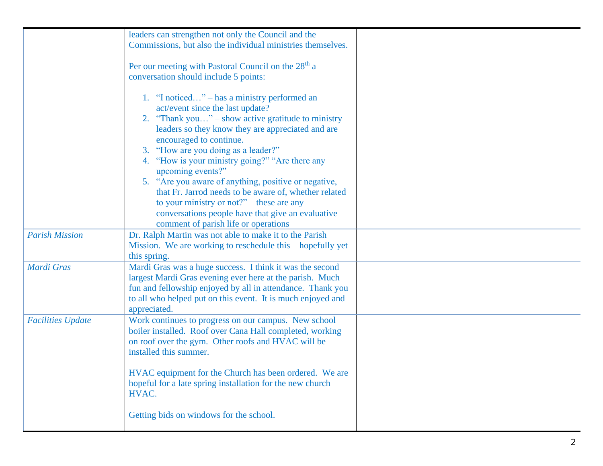|                          | leaders can strengthen not only the Council and the             |  |
|--------------------------|-----------------------------------------------------------------|--|
|                          | Commissions, but also the individual ministries themselves.     |  |
|                          |                                                                 |  |
|                          | Per our meeting with Pastoral Council on the 28 <sup>th</sup> a |  |
|                          |                                                                 |  |
|                          | conversation should include 5 points:                           |  |
|                          |                                                                 |  |
|                          | 1. "I noticed" – has a ministry performed an                    |  |
|                          | act/event since the last update?                                |  |
|                          | 2. "Thank you" – show active gratitude to ministry              |  |
|                          | leaders so they know they are appreciated and are               |  |
|                          | encouraged to continue.                                         |  |
|                          | 3. "How are you doing as a leader?"                             |  |
|                          | 4. "How is your ministry going?" "Are there any                 |  |
|                          | upcoming events?"                                               |  |
|                          | 5. "Are you aware of anything, positive or negative,            |  |
|                          | that Fr. Jarrod needs to be aware of, whether related           |  |
|                          | to your ministry or not?" – these are any                       |  |
|                          | conversations people have that give an evaluative               |  |
|                          | comment of parish life or operations                            |  |
| <b>Parish Mission</b>    | Dr. Ralph Martin was not able to make it to the Parish          |  |
|                          | Mission. We are working to reschedule this - hopefully yet      |  |
|                          | this spring.                                                    |  |
| Mardi Gras               | Mardi Gras was a huge success. I think it was the second        |  |
|                          | largest Mardi Gras evening ever here at the parish. Much        |  |
|                          | fun and fellowship enjoyed by all in attendance. Thank you      |  |
|                          | to all who helped put on this event. It is much enjoyed and     |  |
|                          | appreciated.                                                    |  |
| <b>Facilities Update</b> | Work continues to progress on our campus. New school            |  |
|                          | boiler installed. Roof over Cana Hall completed, working        |  |
|                          | on roof over the gym. Other roofs and HVAC will be              |  |
|                          | installed this summer.                                          |  |
|                          |                                                                 |  |
|                          | HVAC equipment for the Church has been ordered. We are          |  |
|                          | hopeful for a late spring installation for the new church       |  |
|                          | HVAC.                                                           |  |
|                          |                                                                 |  |
|                          | Getting bids on windows for the school.                         |  |
|                          |                                                                 |  |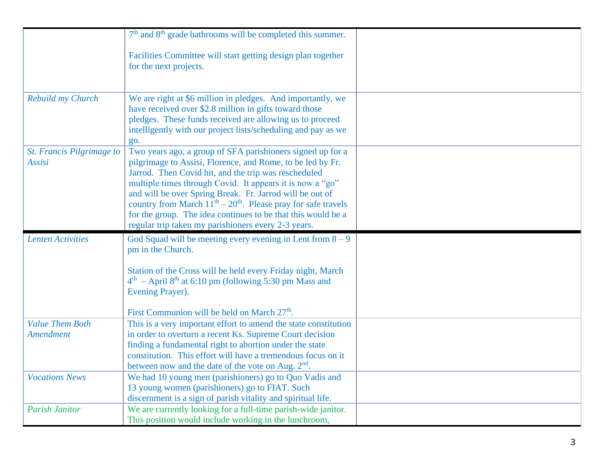|                           | $7th$ and $8th$ grade bathrooms will be completed this summer.                                                              |  |
|---------------------------|-----------------------------------------------------------------------------------------------------------------------------|--|
|                           | Facilities Committee will start getting design plan together                                                                |  |
|                           | for the next projects.                                                                                                      |  |
|                           |                                                                                                                             |  |
| Rebuild my Church         | We are right at \$6 million in pledges. And importantly, we                                                                 |  |
|                           | have received over \$2.8 million in gifts toward those                                                                      |  |
|                           | pledges. These funds received are allowing us to proceed                                                                    |  |
|                           | intelligently with our project lists/scheduling and pay as we                                                               |  |
| St. Francis Pilgrimage to | go.<br>Two years ago, a group of SFA parishioners signed up for a                                                           |  |
| Assisi                    | pilgrimage to Assisi, Florence, and Rome, to be led by Fr.                                                                  |  |
|                           | Jarrod. Then Covid hit, and the trip was rescheduled                                                                        |  |
|                           | multiple times through Covid. It appears it is now a "go"                                                                   |  |
|                           | and will be over Spring Break. Fr. Jarrod will be out of<br>country from March $11th - 20th$ . Please pray for safe travels |  |
|                           | for the group. The idea continues to be that this would be a                                                                |  |
|                           | regular trip taken my parishioners every 2-3 years.                                                                         |  |
| <b>Lenten Activities</b>  | God Squad will be meeting every evening in Lent from $8 - 9$                                                                |  |
|                           | pm in the Church.                                                                                                           |  |
|                           | Station of the Cross will be held every Friday night, March                                                                 |  |
|                           | $4th$ – April 8 <sup>th</sup> at 6:10 pm (following 5:30 pm Mass and                                                        |  |
|                           | Evening Prayer).                                                                                                            |  |
|                           |                                                                                                                             |  |
| <b>Value Them Both</b>    | First Communion will be held on March 27 <sup>th</sup> .<br>This is a very important effort to amend the state constitution |  |
| Amendment                 | in order to overturn a recent Ks. Supreme Court decision                                                                    |  |
|                           | finding a fundamental right to abortion under the state                                                                     |  |
|                           | constitution. This effort will have a tremendous focus on it                                                                |  |
|                           | between now and the date of the vote on Aug. 2 <sup>nd</sup>                                                                |  |
| <b>Vocations News</b>     | We had 10 young men (parishioners) go to Quo Vadis and<br>13 young women (parishioners) go to FIAT. Such                    |  |
|                           | discernment is a sign of parish vitality and spiritual life.                                                                |  |
| <b>Parish Janitor</b>     | We are currently looking for a full-time parish-wide janitor.                                                               |  |
|                           | This position would include working in the lunchroom,                                                                       |  |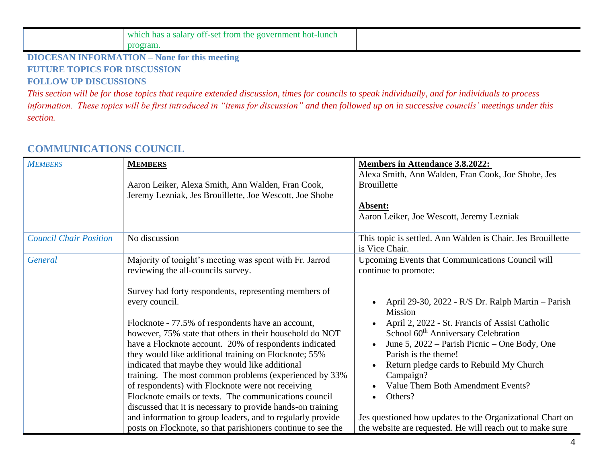| government hot-lunch<br>: salary off-set<br>which<br>from<br>a the l<br>. has |  |
|-------------------------------------------------------------------------------|--|
| ганн                                                                          |  |

#### **DIOCESAN INFORMATION – None for this meeting FUTURE TOPICS FOR DISCUSSION FOLLOW UP DISCUSSIONS**

*This section will be for those topics that require extended discussion, times for councils to speak individually, and for individuals to process information. These topics will be first introduced in "items for discussion" and then followed up on in successive councils' meetings under this section.*

# **COMMUNICATIONS COUNCIL**

| <b>MEMBERS</b>                | <b>MEMBERS</b><br>Aaron Leiker, Alexa Smith, Ann Walden, Fran Cook,<br>Jeremy Lezniak, Jes Brouillette, Joe Wescott, Joe Shobe                                                                                                                                                                                                                                                                                                                                                                                                                                                                                                                                                                                                                                                                                                       | <b>Members in Attendance 3.8.2022:</b><br>Alexa Smith, Ann Walden, Fran Cook, Joe Shobe, Jes<br><b>Brouillette</b><br>Absent:<br>Aaron Leiker, Joe Wescott, Jeremy Lezniak                                                                                                                                                                                                                                                                                                                                                                                      |
|-------------------------------|--------------------------------------------------------------------------------------------------------------------------------------------------------------------------------------------------------------------------------------------------------------------------------------------------------------------------------------------------------------------------------------------------------------------------------------------------------------------------------------------------------------------------------------------------------------------------------------------------------------------------------------------------------------------------------------------------------------------------------------------------------------------------------------------------------------------------------------|-----------------------------------------------------------------------------------------------------------------------------------------------------------------------------------------------------------------------------------------------------------------------------------------------------------------------------------------------------------------------------------------------------------------------------------------------------------------------------------------------------------------------------------------------------------------|
| <b>Council Chair Position</b> | No discussion                                                                                                                                                                                                                                                                                                                                                                                                                                                                                                                                                                                                                                                                                                                                                                                                                        | This topic is settled. Ann Walden is Chair. Jes Brouillette<br>is Vice Chair.                                                                                                                                                                                                                                                                                                                                                                                                                                                                                   |
| General                       | Majority of tonight's meeting was spent with Fr. Jarrod<br>reviewing the all-councils survey.<br>Survey had forty respondents, representing members of<br>every council.<br>Flocknote - 77.5% of respondents have an account,<br>however, 75% state that others in their household do NOT<br>have a Flocknote account. 20% of respondents indicated<br>they would like additional training on Flocknote; 55%<br>indicated that maybe they would like additional<br>training. The most common problems (experienced by 33%<br>of respondents) with Flocknote were not receiving<br>Flocknote emails or texts. The communications council<br>discussed that it is necessary to provide hands-on training<br>and information to group leaders, and to regularly provide<br>posts on Flocknote, so that parishioners continue to see the | Upcoming Events that Communications Council will<br>continue to promote:<br>April 29-30, 2022 - R/S Dr. Ralph Martin - Parish<br><b>Mission</b><br>April 2, 2022 - St. Francis of Assisi Catholic<br>School 60 <sup>th</sup> Anniversary Celebration<br>June 5, 2022 – Parish Picnic – One Body, One<br>Parish is the theme!<br>Return pledge cards to Rebuild My Church<br>Campaign?<br>Value Them Both Amendment Events?<br>Others?<br>Jes questioned how updates to the Organizational Chart on<br>the website are requested. He will reach out to make sure |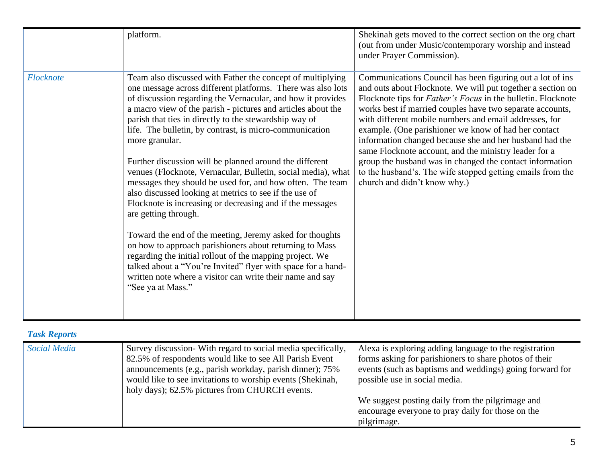|           | platform.                                                                                                                                                                                                                                                                                                                                                                                                                                                                                                                                                                                                                                                                                                                                                                                                                                                                                                                                                                                                                                                                   | Shekinah gets moved to the correct section on the org chart<br>(out from under Music/contemporary worship and instead<br>under Prayer Commission).                                                                                                                                                                                                                                                                                                                                                                                                                                                                                                           |
|-----------|-----------------------------------------------------------------------------------------------------------------------------------------------------------------------------------------------------------------------------------------------------------------------------------------------------------------------------------------------------------------------------------------------------------------------------------------------------------------------------------------------------------------------------------------------------------------------------------------------------------------------------------------------------------------------------------------------------------------------------------------------------------------------------------------------------------------------------------------------------------------------------------------------------------------------------------------------------------------------------------------------------------------------------------------------------------------------------|--------------------------------------------------------------------------------------------------------------------------------------------------------------------------------------------------------------------------------------------------------------------------------------------------------------------------------------------------------------------------------------------------------------------------------------------------------------------------------------------------------------------------------------------------------------------------------------------------------------------------------------------------------------|
| Flocknote | Team also discussed with Father the concept of multiplying<br>one message across different platforms. There was also lots<br>of discussion regarding the Vernacular, and how it provides<br>a macro view of the parish - pictures and articles about the<br>parish that ties in directly to the stewardship way of<br>life. The bulletin, by contrast, is micro-communication<br>more granular.<br>Further discussion will be planned around the different<br>venues (Flocknote, Vernacular, Bulletin, social media), what<br>messages they should be used for, and how often. The team<br>also discussed looking at metrics to see if the use of<br>Flocknote is increasing or decreasing and if the messages<br>are getting through.<br>Toward the end of the meeting, Jeremy asked for thoughts<br>on how to approach parishioners about returning to Mass<br>regarding the initial rollout of the mapping project. We<br>talked about a "You're Invited" flyer with space for a hand-<br>written note where a visitor can write their name and say<br>"See ya at Mass." | Communications Council has been figuring out a lot of ins<br>and outs about Flocknote. We will put together a section on<br>Flocknote tips for <i>Father's Focus</i> in the bulletin. Flocknote<br>works best if married couples have two separate accounts,<br>with different mobile numbers and email addresses, for<br>example. (One parishioner we know of had her contact<br>information changed because she and her husband had the<br>same Flocknote account, and the ministry leader for a<br>group the husband was in changed the contact information<br>to the husband's. The wife stopped getting emails from the<br>church and didn't know why.) |

# *Task Reports*

| <b>Social Media</b> | Survey discussion- With regard to social media specifically,<br>82.5% of respondents would like to see All Parish Event<br>announcements (e.g., parish workday, parish dinner); 75%<br>would like to see invitations to worship events (Shekinah,<br>holy days); 62.5% pictures from CHURCH events. | Alexa is exploring adding language to the registration<br>forms asking for parishioners to share photos of their<br>events (such as baptisms and weddings) going forward for<br>possible use in social media.<br>We suggest posting daily from the pilgrimage and<br>encourage everyone to pray daily for those on the |
|---------------------|-----------------------------------------------------------------------------------------------------------------------------------------------------------------------------------------------------------------------------------------------------------------------------------------------------|------------------------------------------------------------------------------------------------------------------------------------------------------------------------------------------------------------------------------------------------------------------------------------------------------------------------|
|                     |                                                                                                                                                                                                                                                                                                     | pilgrimage.                                                                                                                                                                                                                                                                                                            |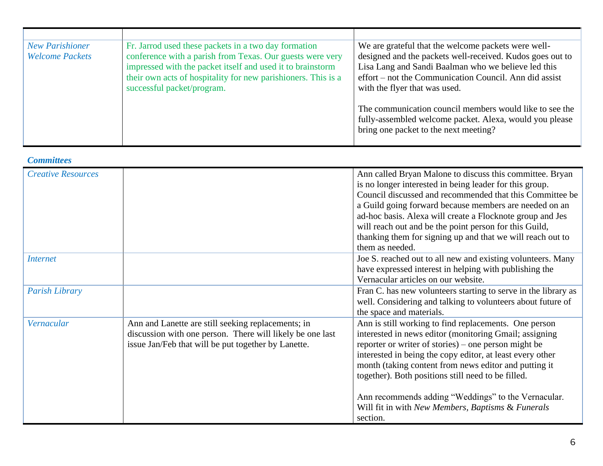| <b>New Parishioner</b><br><b>Welcome Packets</b> | Fr. Jarrod used these packets in a two day formation<br>conference with a parish from Texas. Our guests were very<br>impressed with the packet itself and used it to brainstorm<br>their own acts of hospitality for new parishioners. This is a<br>successful packet/program. | We are grateful that the welcome packets were well-<br>designed and the packets well-received. Kudos goes out to<br>Lisa Lang and Sandi Baalman who we believe led this<br>effort – not the Communication Council. Ann did assist<br>with the flyer that was used. |
|--------------------------------------------------|--------------------------------------------------------------------------------------------------------------------------------------------------------------------------------------------------------------------------------------------------------------------------------|--------------------------------------------------------------------------------------------------------------------------------------------------------------------------------------------------------------------------------------------------------------------|
|                                                  |                                                                                                                                                                                                                                                                                | The communication council members would like to see the<br>fully-assembled welcome packet. Alexa, would you please<br>bring one packet to the next meeting?                                                                                                        |

#### *Committees*

| <b>Creative Resources</b> |                                                                                                                                                                        | Ann called Bryan Malone to discuss this committee. Bryan<br>is no longer interested in being leader for this group.<br>Council discussed and recommended that this Committee be<br>a Guild going forward because members are needed on an<br>ad-hoc basis. Alexa will create a Flocknote group and Jes<br>will reach out and be the point person for this Guild,<br>thanking them for signing up and that we will reach out to<br>them as needed.                           |
|---------------------------|------------------------------------------------------------------------------------------------------------------------------------------------------------------------|-----------------------------------------------------------------------------------------------------------------------------------------------------------------------------------------------------------------------------------------------------------------------------------------------------------------------------------------------------------------------------------------------------------------------------------------------------------------------------|
| <i>Internet</i>           |                                                                                                                                                                        | Joe S. reached out to all new and existing volunteers. Many<br>have expressed interest in helping with publishing the<br>Vernacular articles on our website.                                                                                                                                                                                                                                                                                                                |
| <b>Parish Library</b>     |                                                                                                                                                                        | Fran C. has new volunteers starting to serve in the library as<br>well. Considering and talking to volunteers about future of<br>the space and materials.                                                                                                                                                                                                                                                                                                                   |
| Vernacular                | Ann and Lanette are still seeking replacements; in<br>discussion with one person. There will likely be one last<br>issue Jan/Feb that will be put together by Lanette. | Ann is still working to find replacements. One person<br>interested in news editor (monitoring Gmail; assigning<br>reporter or writer of stories) – one person might be<br>interested in being the copy editor, at least every other<br>month (taking content from news editor and putting it<br>together). Both positions still need to be filled.<br>Ann recommends adding "Weddings" to the Vernacular.<br>Will fit in with New Members, Baptisms & Funerals<br>section. |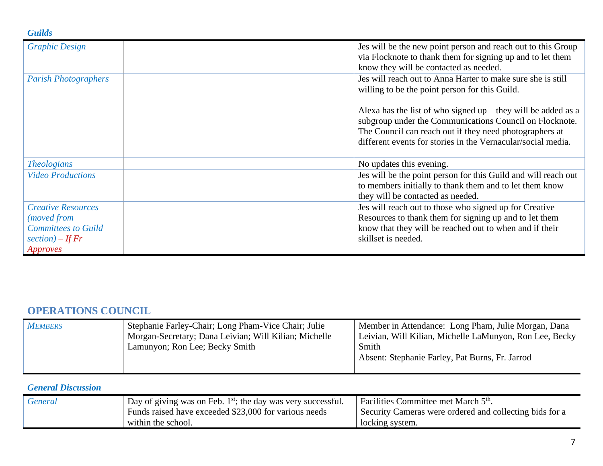#### *Guilds*

| <b>Graphic Design</b>                                                                                    | Jes will be the new point person and reach out to this Group<br>via Flocknote to thank them for signing up and to let them<br>know they will be contacted as needed.                                                                                  |
|----------------------------------------------------------------------------------------------------------|-------------------------------------------------------------------------------------------------------------------------------------------------------------------------------------------------------------------------------------------------------|
| <b>Parish Photographers</b>                                                                              | Jes will reach out to Anna Harter to make sure she is still<br>willing to be the point person for this Guild.                                                                                                                                         |
|                                                                                                          | Alexa has the list of who signed $up$ – they will be added as a<br>subgroup under the Communications Council on Flocknote.<br>The Council can reach out if they need photographers at<br>different events for stories in the Vernacular/social media. |
| <b>Theologians</b>                                                                                       | No updates this evening.                                                                                                                                                                                                                              |
| <b>Video Productions</b>                                                                                 | Jes will be the point person for this Guild and will reach out<br>to members initially to thank them and to let them know<br>they will be contacted as needed.                                                                                        |
| <b>Creative Resources</b><br>(moved from<br><b>Committees to Guild</b><br>section) – If $Fr$<br>Approves | Jes will reach out to those who signed up for Creative<br>Resources to thank them for signing up and to let them<br>know that they will be reached out to when and if their<br>skillset is needed.                                                    |

# **OPERATIONS COUNCIL**

| <b>MEMBERS</b> | Stephanie Farley-Chair; Long Pham-Vice Chair; Julie<br>Morgan-Secretary; Dana Leivian; Will Kilian; Michelle | Member in Attendance: Long Pham, Julie Morgan, Dana<br>Leivian, Will Kilian, Michelle LaMunyon, Ron Lee, Becky |
|----------------|--------------------------------------------------------------------------------------------------------------|----------------------------------------------------------------------------------------------------------------|
|                | Lamunyon; Ron Lee; Becky Smith                                                                               | Smith                                                                                                          |
|                |                                                                                                              | Absent: Stephanie Farley, Pat Burns, Fr. Jarrod                                                                |
|                |                                                                                                              |                                                                                                                |

## *General Discussion*

| <b>General</b> | Day of giving was on Feb. $1st$ ; the day was very successful. | Facilities Committee met March 5 <sup>th</sup> .        |
|----------------|----------------------------------------------------------------|---------------------------------------------------------|
|                | Funds raised have exceeded \$23,000 for various needs          | Security Cameras were ordered and collecting bids for a |
|                | within the school.                                             | locking system.                                         |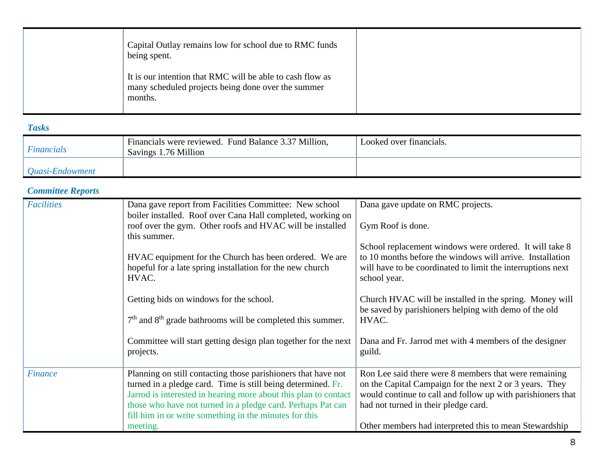| Capital Outlay remains low for school due to RMC funds<br>being spent.                                                     |  |
|----------------------------------------------------------------------------------------------------------------------------|--|
| It is our intention that RMC will be able to cash flow as<br>many scheduled projects being done over the summer<br>months. |  |

#### *Tasks*

| <b>Financials</b> | Financials were reviewed. Fund Balance 3.37 Million,<br>Savings 1.76 Million | Looked over financials. |
|-------------------|------------------------------------------------------------------------------|-------------------------|
| Quasi-Endowment   |                                                                              |                         |

### *Committee Reports*

| <b>Facilities</b> | Dana gave report from Facilities Committee: New school<br>boiler installed. Roof over Cana Hall completed, working on                                                                            | Dana gave update on RMC projects.                                                                                                                                                                   |
|-------------------|--------------------------------------------------------------------------------------------------------------------------------------------------------------------------------------------------|-----------------------------------------------------------------------------------------------------------------------------------------------------------------------------------------------------|
|                   | roof over the gym. Other roofs and HVAC will be installed<br>this summer.                                                                                                                        | Gym Roof is done.                                                                                                                                                                                   |
|                   | HVAC equipment for the Church has been ordered. We are<br>hopeful for a late spring installation for the new church<br>HVAC.                                                                     | School replacement windows were ordered. It will take 8<br>to 10 months before the windows will arrive. Installation<br>will have to be coordinated to limit the interruptions next<br>school year. |
|                   | Getting bids on windows for the school.                                                                                                                                                          | Church HVAC will be installed in the spring. Money will<br>be saved by parishioners helping with demo of the old                                                                                    |
|                   | $7th$ and $8th$ grade bathrooms will be completed this summer.                                                                                                                                   | HVAC.                                                                                                                                                                                               |
|                   | Committee will start getting design plan together for the next<br>projects.                                                                                                                      | Dana and Fr. Jarrod met with 4 members of the designer<br>guild.                                                                                                                                    |
| <b>Finance</b>    | Planning on still contacting those parishioners that have not<br>turned in a pledge card. Time is still being determined. Fr.<br>Jarrod is interested in hearing more about this plan to contact | Ron Lee said there were 8 members that were remaining<br>on the Capital Campaign for the next 2 or 3 years. They<br>would continue to call and follow up with parishioners that                     |
|                   | those who have not turned in a pledge card. Perhaps Pat can<br>fill him in or write something in the minutes for this                                                                            | had not turned in their pledge card.                                                                                                                                                                |
|                   | meeting.                                                                                                                                                                                         | Other members had interpreted this to mean Stewardship                                                                                                                                              |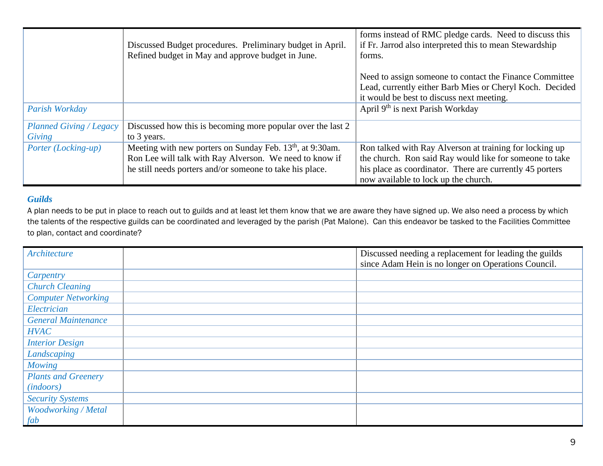|                                | Discussed Budget procedures. Preliminary budget in April.<br>Refined budget in May and approve budget in June. | forms instead of RMC pledge cards. Need to discuss this<br>if Fr. Jarrod also interpreted this to mean Stewardship<br>forms.                                     |
|--------------------------------|----------------------------------------------------------------------------------------------------------------|------------------------------------------------------------------------------------------------------------------------------------------------------------------|
|                                |                                                                                                                | Need to assign someone to contact the Finance Committee<br>Lead, currently either Barb Mies or Cheryl Koch. Decided<br>it would be best to discuss next meeting. |
| Parish Workday                 |                                                                                                                | April 9 <sup>th</sup> is next Parish Workday                                                                                                                     |
| <b>Planned Giving / Legacy</b> | Discussed how this is becoming more popular over the last 2                                                    |                                                                                                                                                                  |
| Giving                         | to 3 years.                                                                                                    |                                                                                                                                                                  |
| Porter (Locking-up)            | Meeting with new porters on Sunday Feb. 13 <sup>th</sup> , at 9:30am.                                          | Ron talked with Ray Alverson at training for locking up                                                                                                          |
|                                | Ron Lee will talk with Ray Alverson. We need to know if                                                        | the church. Ron said Ray would like for someone to take                                                                                                          |
|                                | he still needs porters and/or someone to take his place.                                                       | his place as coordinator. There are currently 45 porters<br>now available to lock up the church.                                                                 |

#### *Guilds*

A plan needs to be put in place to reach out to guilds and at least let them know that we are aware they have signed up. We also need a process by which the talents of the respective guilds can be coordinated and leveraged by the parish (Pat Malone). Can this endeavor be tasked to the Facilities Committee to plan, contact and coordinate?

| <b>Architecture</b>        | Discussed needing a replacement for leading the guilds |
|----------------------------|--------------------------------------------------------|
|                            | since Adam Hein is no longer on Operations Council.    |
| Carpentry                  |                                                        |
| <b>Church Cleaning</b>     |                                                        |
| <b>Computer Networking</b> |                                                        |
| Electrician                |                                                        |
| <b>General Maintenance</b> |                                                        |
| <b>HVAC</b>                |                                                        |
| <b>Interior Design</b>     |                                                        |
| Landscaping                |                                                        |
| <b>Mowing</b>              |                                                        |
| <b>Plants and Greenery</b> |                                                        |
| ( <i>indoors</i> )         |                                                        |
| <b>Security Systems</b>    |                                                        |
| Woodworking / Metal        |                                                        |
| fab                        |                                                        |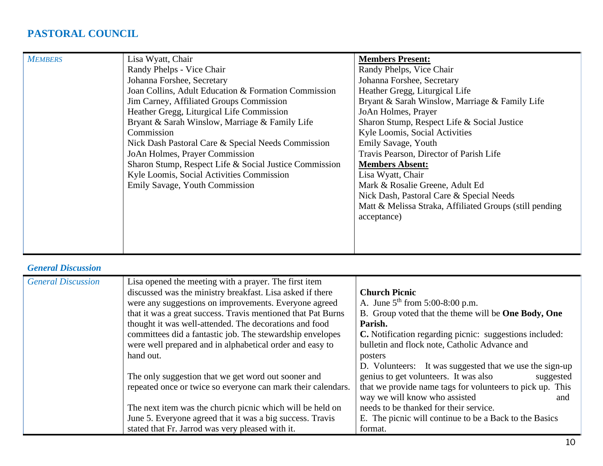# **PASTORAL COUNCIL**

| <b>MEMBERS</b> | Lisa Wyatt, Chair                                      | <b>Members Present:</b>                                 |
|----------------|--------------------------------------------------------|---------------------------------------------------------|
|                | Randy Phelps - Vice Chair                              | Randy Phelps, Vice Chair                                |
|                | Johanna Forshee, Secretary                             | Johanna Forshee, Secretary                              |
|                | Joan Collins, Adult Education & Formation Commission   | Heather Gregg, Liturgical Life                          |
|                | Jim Carney, Affiliated Groups Commission               | Bryant & Sarah Winslow, Marriage & Family Life          |
|                | Heather Gregg, Liturgical Life Commission              | JoAn Holmes, Prayer                                     |
|                | Bryant & Sarah Winslow, Marriage & Family Life         | Sharon Stump, Respect Life & Social Justice             |
|                | Commission                                             | Kyle Loomis, Social Activities                          |
|                | Nick Dash Pastoral Care & Special Needs Commission     | Emily Savage, Youth                                     |
|                | JoAn Holmes, Prayer Commission                         | Travis Pearson, Director of Parish Life                 |
|                | Sharon Stump, Respect Life & Social Justice Commission | <b>Members Absent:</b>                                  |
|                | Kyle Loomis, Social Activities Commission              | Lisa Wyatt, Chair                                       |
|                | Emily Savage, Youth Commission                         | Mark & Rosalie Greene, Adult Ed                         |
|                |                                                        | Nick Dash, Pastoral Care & Special Needs                |
|                |                                                        | Matt & Melissa Straka, Affiliated Groups (still pending |
|                |                                                        | acceptance)                                             |
|                |                                                        |                                                         |
|                |                                                        |                                                         |
|                |                                                        |                                                         |

## *General Discussion*

| <b>General Discussion</b> | Lisa opened the meeting with a prayer. The first item        |                                                                    |
|---------------------------|--------------------------------------------------------------|--------------------------------------------------------------------|
|                           | discussed was the ministry breakfast. Lisa asked if there    | <b>Church Picnic</b>                                               |
|                           | were any suggestions on improvements. Everyone agreed        | A. June $5^{th}$ from 5:00-8:00 p.m.                               |
|                           | that it was a great success. Travis mentioned that Pat Burns | B. Group voted that the theme will be <b>One Body</b> , <b>One</b> |
|                           | thought it was well-attended. The decorations and food       | Parish.                                                            |
|                           | committees did a fantastic job. The stewardship envelopes    | C. Notification regarding picnic: suggestions included:            |
|                           | were well prepared and in alphabetical order and easy to     | bulletin and flock note, Catholic Advance and                      |
|                           | hand out.                                                    | posters                                                            |
|                           |                                                              | D. Volunteers: It was suggested that we use the sign-up            |
|                           | The only suggestion that we get word out sooner and          | genius to get volunteers. It was also<br>suggested                 |
|                           | repeated once or twice so everyone can mark their calendars. | that we provide name tags for volunteers to pick up. This          |
|                           |                                                              | way we will know who assisted<br>and                               |
|                           | The next item was the church picnic which will be held on    | needs to be thanked for their service.                             |
|                           | June 5. Everyone agreed that it was a big success. Travis    | E. The picnic will continue to be a Back to the Basics             |
|                           | stated that Fr. Jarrod was very pleased with it.             | format.                                                            |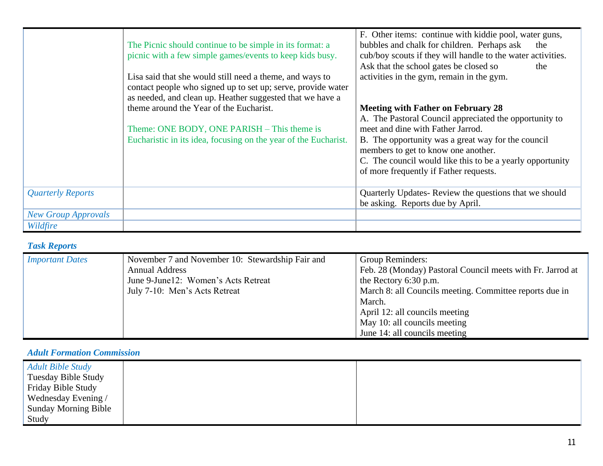|                            | The Picnic should continue to be simple in its format: a<br>picnic with a few simple games/events to keep kids busy.<br>Lisa said that she would still need a theme, and ways to<br>contact people who signed up to set up; serve, provide water<br>as needed, and clean up. Heather suggested that we have a | F. Other items: continue with kiddie pool, water guns,<br>bubbles and chalk for children. Perhaps ask<br>the<br>cub/boy scouts if they will handle to the water activities.<br>Ask that the school gates be closed so<br>the<br>activities in the gym, remain in the gym. |
|----------------------------|---------------------------------------------------------------------------------------------------------------------------------------------------------------------------------------------------------------------------------------------------------------------------------------------------------------|---------------------------------------------------------------------------------------------------------------------------------------------------------------------------------------------------------------------------------------------------------------------------|
|                            | theme around the Year of the Eucharist.                                                                                                                                                                                                                                                                       | <b>Meeting with Father on February 28</b><br>A. The Pastoral Council appreciated the opportunity to                                                                                                                                                                       |
|                            | Theme: ONE BODY, ONE PARISH – This theme is                                                                                                                                                                                                                                                                   | meet and dine with Father Jarrod.                                                                                                                                                                                                                                         |
|                            | Eucharistic in its idea, focusing on the year of the Eucharist.                                                                                                                                                                                                                                               | B. The opportunity was a great way for the council<br>members to get to know one another.                                                                                                                                                                                 |
|                            |                                                                                                                                                                                                                                                                                                               | C. The council would like this to be a yearly opportunity                                                                                                                                                                                                                 |
|                            |                                                                                                                                                                                                                                                                                                               | of more frequently if Father requests.                                                                                                                                                                                                                                    |
| <b>Quarterly Reports</b>   |                                                                                                                                                                                                                                                                                                               | Quarterly Updates-Review the questions that we should<br>be asking. Reports due by April.                                                                                                                                                                                 |
| <b>New Group Approvals</b> |                                                                                                                                                                                                                                                                                                               |                                                                                                                                                                                                                                                                           |
| Wildfire                   |                                                                                                                                                                                                                                                                                                               |                                                                                                                                                                                                                                                                           |

# *Task Reports*

| <b>Important Dates</b> | November 7 and November 10: Stewardship Fair and<br><b>Annual Address</b> | Group Reminders:                                           |
|------------------------|---------------------------------------------------------------------------|------------------------------------------------------------|
|                        |                                                                           | Feb. 28 (Monday) Pastoral Council meets with Fr. Jarrod at |
|                        | June 9-June12: Women's Acts Retreat                                       | the Rectory 6:30 p.m.                                      |
|                        | July 7-10: Men's Acts Retreat                                             | March 8: all Councils meeting. Committee reports due in    |
|                        |                                                                           | March.                                                     |
|                        |                                                                           | April 12: all councils meeting                             |
|                        |                                                                           | May 10: all councils meeting                               |
|                        |                                                                           | June 14: all councils meeting                              |

#### *Adult Formation Commission*

| <b>Adult Bible Study</b>    |  |
|-----------------------------|--|
| <b>Tuesday Bible Study</b>  |  |
| Friday Bible Study          |  |
| Wednesday Evening /         |  |
| <b>Sunday Morning Bible</b> |  |
| Study                       |  |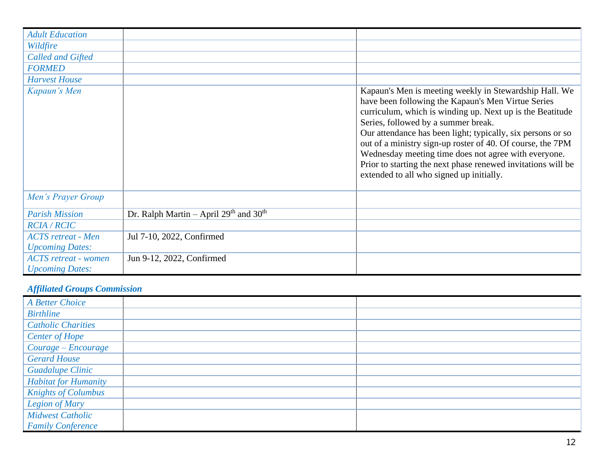| <b>Adult Education</b>      |                                            |                                                                                                                                                                                                                                                                                                                                                                                                                                                                                                                   |
|-----------------------------|--------------------------------------------|-------------------------------------------------------------------------------------------------------------------------------------------------------------------------------------------------------------------------------------------------------------------------------------------------------------------------------------------------------------------------------------------------------------------------------------------------------------------------------------------------------------------|
| Wildfire                    |                                            |                                                                                                                                                                                                                                                                                                                                                                                                                                                                                                                   |
| <b>Called and Gifted</b>    |                                            |                                                                                                                                                                                                                                                                                                                                                                                                                                                                                                                   |
| <b>FORMED</b>               |                                            |                                                                                                                                                                                                                                                                                                                                                                                                                                                                                                                   |
| <b>Harvest House</b>        |                                            |                                                                                                                                                                                                                                                                                                                                                                                                                                                                                                                   |
| Kapaun's Men                |                                            | Kapaun's Men is meeting weekly in Stewardship Hall. We<br>have been following the Kapaun's Men Virtue Series<br>curriculum, which is winding up. Next up is the Beatitude<br>Series, followed by a summer break.<br>Our attendance has been light; typically, six persons or so<br>out of a ministry sign-up roster of 40. Of course, the 7PM<br>Wednesday meeting time does not agree with everyone.<br>Prior to starting the next phase renewed invitations will be<br>extended to all who signed up initially. |
| Men's Prayer Group          |                                            |                                                                                                                                                                                                                                                                                                                                                                                                                                                                                                                   |
| <b>Parish Mission</b>       | Dr. Ralph Martin – April $29th$ and $30th$ |                                                                                                                                                                                                                                                                                                                                                                                                                                                                                                                   |
| <b>RCIA / RCIC</b>          |                                            |                                                                                                                                                                                                                                                                                                                                                                                                                                                                                                                   |
| <b>ACTS</b> retreat - Men   | Jul 7-10, 2022, Confirmed                  |                                                                                                                                                                                                                                                                                                                                                                                                                                                                                                                   |
| <b>Upcoming Dates:</b>      |                                            |                                                                                                                                                                                                                                                                                                                                                                                                                                                                                                                   |
| <b>ACTS</b> retreat - women | Jun 9-12, 2022, Confirmed                  |                                                                                                                                                                                                                                                                                                                                                                                                                                                                                                                   |
| <b>Upcoming Dates:</b>      |                                            |                                                                                                                                                                                                                                                                                                                                                                                                                                                                                                                   |

# *Affiliated Groups Commission*

| A Better Choice             |  |
|-----------------------------|--|
| <b>Birthline</b>            |  |
| <b>Catholic Charities</b>   |  |
| <b>Center of Hope</b>       |  |
| Courage - Encourage         |  |
| <b>Gerard House</b>         |  |
| <b>Guadalupe Clinic</b>     |  |
| <b>Habitat for Humanity</b> |  |
| <b>Knights of Columbus</b>  |  |
| Legion of Mary              |  |
| <b>Midwest Catholic</b>     |  |
| <b>Family Conference</b>    |  |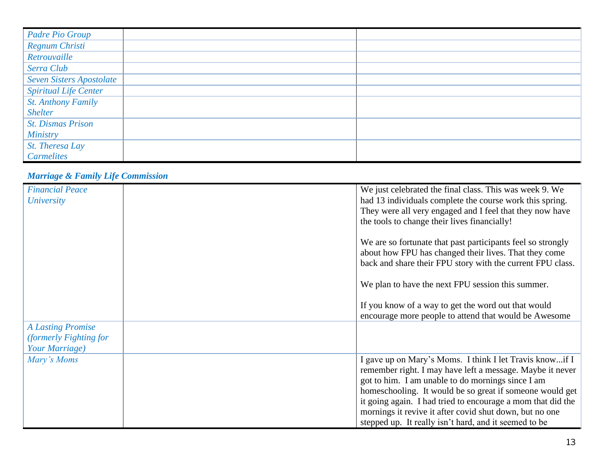| Padre Pio Group                 |  |
|---------------------------------|--|
| Regnum Christi                  |  |
| Retrouvaille                    |  |
| Serra Club                      |  |
| <b>Seven Sisters Apostolate</b> |  |
| <b>Spiritual Life Center</b>    |  |
| <b>St. Anthony Family</b>       |  |
| <b>Shelter</b>                  |  |
| <b>St. Dismas Prison</b>        |  |
| <b>Ministry</b>                 |  |
| St. Theresa Lay                 |  |
| <b>Carmelites</b>               |  |

#### *Marriage & Family Life Commission*

| <b>Financial Peace</b><br><b>University</b>                          | We just celebrated the final class. This was week 9. We<br>had 13 individuals complete the course work this spring.<br>They were all very engaged and I feel that they now have<br>the tools to change their lives financially!                                                                                                                                                                                          |
|----------------------------------------------------------------------|--------------------------------------------------------------------------------------------------------------------------------------------------------------------------------------------------------------------------------------------------------------------------------------------------------------------------------------------------------------------------------------------------------------------------|
|                                                                      | We are so fortunate that past participants feel so strongly<br>about how FPU has changed their lives. That they come<br>back and share their FPU story with the current FPU class.                                                                                                                                                                                                                                       |
|                                                                      | We plan to have the next FPU session this summer.                                                                                                                                                                                                                                                                                                                                                                        |
|                                                                      | If you know of a way to get the word out that would<br>encourage more people to attend that would be Awesome                                                                                                                                                                                                                                                                                                             |
| <b>A Lasting Promise</b><br>(formerly Fighting for<br>Your Marriage) |                                                                                                                                                                                                                                                                                                                                                                                                                          |
| Mary's Moms                                                          | I gave up on Mary's Moms. I think I let Travis knowif I<br>remember right. I may have left a message. Maybe it never<br>got to him. I am unable to do mornings since I am<br>homeschooling. It would be so great if someone would get<br>it going again. I had tried to encourage a mom that did the<br>mornings it revive it after covid shut down, but no one<br>stepped up. It really isn't hard, and it seemed to be |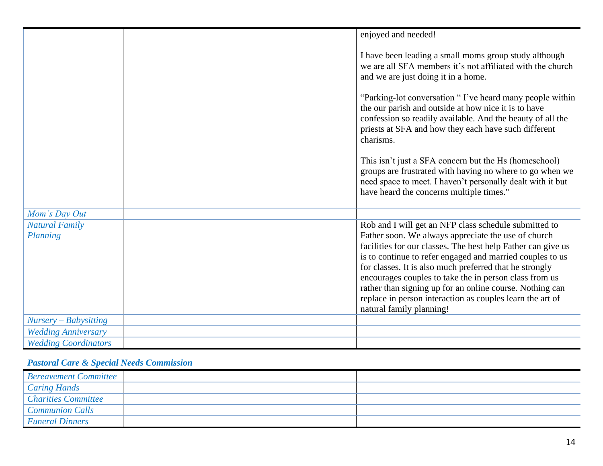|                             | enjoyed and needed!                                                                                                                                                                                                                                 |
|-----------------------------|-----------------------------------------------------------------------------------------------------------------------------------------------------------------------------------------------------------------------------------------------------|
|                             | I have been leading a small moms group study although<br>we are all SFA members it's not affiliated with the church<br>and we are just doing it in a home.                                                                                          |
|                             | "Parking-lot conversation "I've heard many people within<br>the our parish and outside at how nice it is to have<br>confession so readily available. And the beauty of all the<br>priests at SFA and how they each have such different<br>charisms. |
|                             | This isn't just a SFA concern but the Hs (homeschool)<br>groups are frustrated with having no where to go when we<br>need space to meet. I haven't personally dealt with it but<br>have heard the concerns multiple times."                         |
| Mom's Day Out               |                                                                                                                                                                                                                                                     |
| <b>Natural Family</b>       | Rob and I will get an NFP class schedule submitted to                                                                                                                                                                                               |
| Planning                    | Father soon. We always appreciate the use of church                                                                                                                                                                                                 |
|                             | facilities for our classes. The best help Father can give us                                                                                                                                                                                        |
|                             | is to continue to refer engaged and married couples to us                                                                                                                                                                                           |
|                             | for classes. It is also much preferred that he strongly<br>encourages couples to take the in person class from us                                                                                                                                   |
|                             | rather than signing up for an online course. Nothing can                                                                                                                                                                                            |
|                             | replace in person interaction as couples learn the art of                                                                                                                                                                                           |
|                             | natural family planning!                                                                                                                                                                                                                            |
| $Nursery-Babysitting$       |                                                                                                                                                                                                                                                     |
| <b>Wedding Anniversary</b>  |                                                                                                                                                                                                                                                     |
| <b>Wedding Coordinators</b> |                                                                                                                                                                                                                                                     |

# *Pastoral Care & Special Needs Commission*

| <b>Bereavement Committee</b> |  |
|------------------------------|--|
| Caring Hands                 |  |
| Charities Committee          |  |
| Communion Calls              |  |
| <b>Funeral Dinners</b>       |  |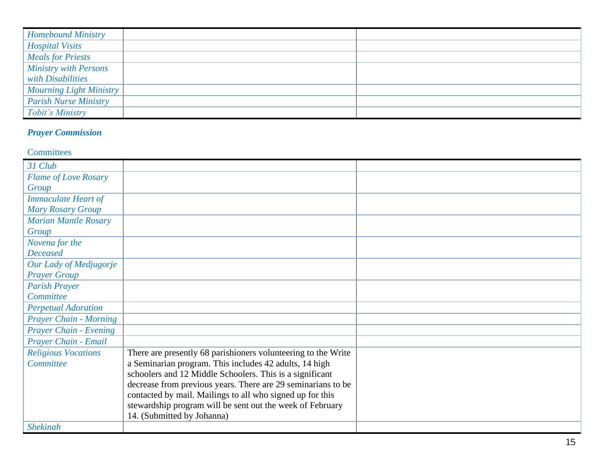| <b>Homebound Ministry</b>    |  |
|------------------------------|--|
| <b>Hospital Visits</b>       |  |
| <b>Meals for Priests</b>     |  |
| Ministry with Persons        |  |
| with Disabilities            |  |
| Mourning Light Ministry      |  |
| <b>Parish Nurse Ministry</b> |  |
| Tobit's Ministry             |  |

# *Prayer Commission*

#### **Committees**

| 31 Club                       |                                                               |  |
|-------------------------------|---------------------------------------------------------------|--|
| <b>Flame of Love Rosary</b>   |                                                               |  |
| Group                         |                                                               |  |
| <b>Immaculate Heart of</b>    |                                                               |  |
| <b>Mary Rosary Group</b>      |                                                               |  |
| <b>Marian Mantle Rosary</b>   |                                                               |  |
| Group                         |                                                               |  |
| Novena for the                |                                                               |  |
| <b>Deceased</b>               |                                                               |  |
| Our Lady of Medjugorje        |                                                               |  |
| <b>Prayer Group</b>           |                                                               |  |
| <b>Parish Prayer</b>          |                                                               |  |
| Committee                     |                                                               |  |
| <b>Perpetual Adoration</b>    |                                                               |  |
| <b>Prayer Chain - Morning</b> |                                                               |  |
| <b>Prayer Chain - Evening</b> |                                                               |  |
| Prayer Chain - Email          |                                                               |  |
| <b>Religious Vocations</b>    | There are presently 68 parishioners volunteering to the Write |  |
| Committee                     | a Seminarian program. This includes 42 adults, 14 high        |  |
|                               | schoolers and 12 Middle Schoolers. This is a significant      |  |
|                               | decrease from previous years. There are 29 seminarians to be  |  |
|                               | contacted by mail. Mailings to all who signed up for this     |  |
|                               | stewardship program will be sent out the week of February     |  |
|                               | 14. (Submitted by Johanna)                                    |  |
| <b>Shekinah</b>               |                                                               |  |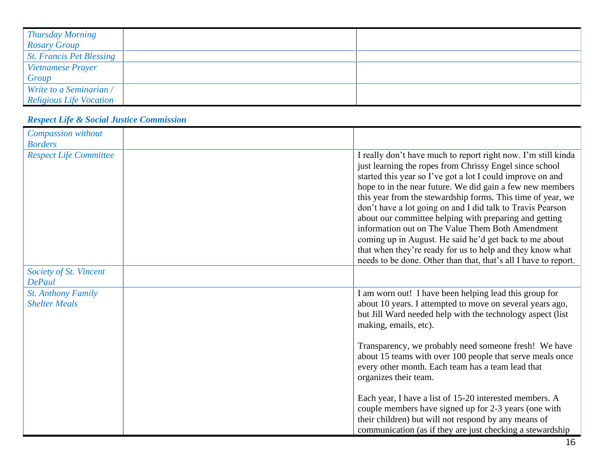| <b>Thursday Morning</b>        |  |
|--------------------------------|--|
| <b>Rosary Group</b>            |  |
| St. Francis Pet Blessing       |  |
| <b>Vietnamese Prayer</b>       |  |
| Group                          |  |
| Write to a Seminarian /        |  |
| <b>Religious Life Vocation</b> |  |

# *Respect Life & Social Justice Commission*

| Compassion without                                |                                                                                                                                                                                                                                                                                                                                                                                                                                                                                                                                                                                                                                                                                          |
|---------------------------------------------------|------------------------------------------------------------------------------------------------------------------------------------------------------------------------------------------------------------------------------------------------------------------------------------------------------------------------------------------------------------------------------------------------------------------------------------------------------------------------------------------------------------------------------------------------------------------------------------------------------------------------------------------------------------------------------------------|
| <b>Borders</b>                                    |                                                                                                                                                                                                                                                                                                                                                                                                                                                                                                                                                                                                                                                                                          |
| <b>Respect Life Committee</b>                     | I really don't have much to report right now. I'm still kinda<br>just learning the ropes from Chrissy Engel since school<br>started this year so I've got a lot I could improve on and<br>hope to in the near future. We did gain a few new members<br>this year from the stewardship forms. This time of year, we<br>don't have a lot going on and I did talk to Travis Pearson<br>about our committee helping with preparing and getting<br>information out on The Value Them Both Amendment<br>coming up in August. He said he'd get back to me about<br>that when they're ready for us to help and they know what<br>needs to be done. Other than that, that's all I have to report. |
| Society of St. Vincent<br><b>DePaul</b>           |                                                                                                                                                                                                                                                                                                                                                                                                                                                                                                                                                                                                                                                                                          |
| <b>St. Anthony Family</b><br><b>Shelter Meals</b> | I am worn out! I have been helping lead this group for<br>about 10 years. I attempted to move on several years ago,<br>but Jill Ward needed help with the technology aspect (list<br>making, emails, etc).                                                                                                                                                                                                                                                                                                                                                                                                                                                                               |
|                                                   | Transparency, we probably need someone fresh! We have<br>about 15 teams with over 100 people that serve meals once<br>every other month. Each team has a team lead that<br>organizes their team.                                                                                                                                                                                                                                                                                                                                                                                                                                                                                         |
|                                                   | Each year, I have a list of 15-20 interested members. A<br>couple members have signed up for 2-3 years (one with<br>their children) but will not respond by any means of<br>communication (as if they are just checking a stewardship                                                                                                                                                                                                                                                                                                                                                                                                                                                    |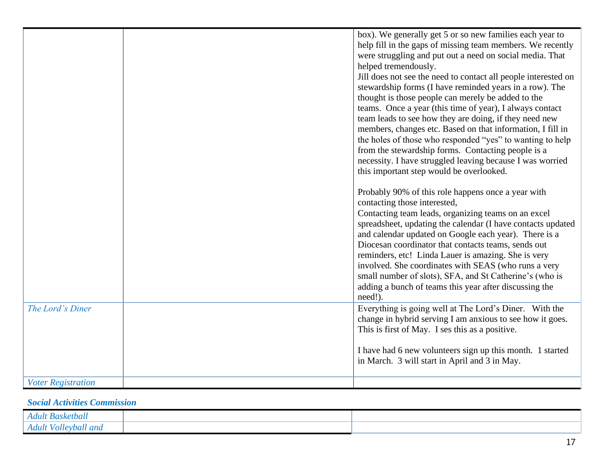|                           | box). We generally get 5 or so new families each year to       |
|---------------------------|----------------------------------------------------------------|
|                           | help fill in the gaps of missing team members. We recently     |
|                           | were struggling and put out a need on social media. That       |
|                           | helped tremendously.                                           |
|                           | Jill does not see the need to contact all people interested on |
|                           | stewardship forms (I have reminded years in a row). The        |
|                           | thought is those people can merely be added to the             |
|                           | teams. Once a year (this time of year), I always contact       |
|                           | team leads to see how they are doing, if they need new         |
|                           |                                                                |
|                           | members, changes etc. Based on that information, I fill in     |
|                           | the holes of those who responded "yes" to wanting to help      |
|                           | from the stewardship forms. Contacting people is a             |
|                           | necessity. I have struggled leaving because I was worried      |
|                           | this important step would be overlooked.                       |
|                           |                                                                |
|                           | Probably 90% of this role happens once a year with             |
|                           | contacting those interested,                                   |
|                           | Contacting team leads, organizing teams on an excel            |
|                           | spreadsheet, updating the calendar (I have contacts updated    |
|                           | and calendar updated on Google each year). There is a          |
|                           | Diocesan coordinator that contacts teams, sends out            |
|                           | reminders, etc! Linda Lauer is amazing. She is very            |
|                           | involved. She coordinates with SEAS (who runs a very           |
|                           | small number of slots), SFA, and St Catherine's (who is        |
|                           | adding a bunch of teams this year after discussing the         |
|                           | need!).                                                        |
| The Lord's Diner          | Everything is going well at The Lord's Diner. With the         |
|                           | change in hybrid serving I am anxious to see how it goes.      |
|                           |                                                                |
|                           | This is first of May. I ses this as a positive.                |
|                           |                                                                |
|                           | I have had 6 new volunteers sign up this month. 1 started      |
|                           | in March. 3 will start in April and 3 in May.                  |
|                           |                                                                |
| <b>Voter Registration</b> |                                                                |

### *Social Activities Commission*

| Basketball<br>Adult                                           |  |
|---------------------------------------------------------------|--|
| Volleybal<br>$u$ and<br>Adult<br>$\cdot$ v $\boldsymbol{\nu}$ |  |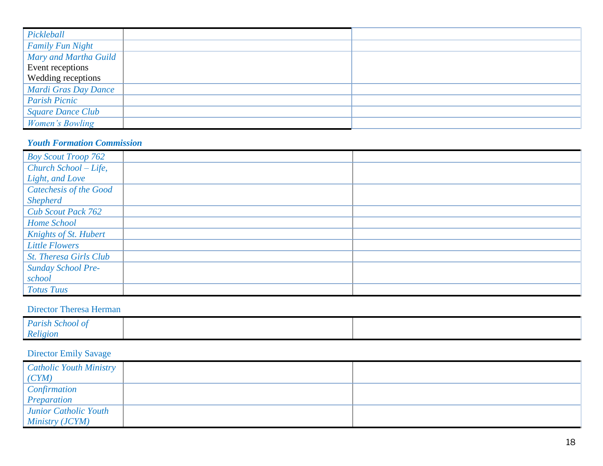| Pickleball               |  |
|--------------------------|--|
| <b>Family Fun Night</b>  |  |
| Mary and Martha Guild    |  |
| Event receptions         |  |
| Wedding receptions       |  |
| Mardi Gras Day Dance     |  |
| <b>Parish Picnic</b>     |  |
| <b>Square Dance Club</b> |  |
| Women's Bowling          |  |

#### *Youth Formation Commission*

| <b>Boy Scout Troop 762</b>    |  |
|-------------------------------|--|
| Church School - Life,         |  |
| Light, and Love               |  |
| <b>Catechesis of the Good</b> |  |
| <b>Shepherd</b>               |  |
| <b>Cub Scout Pack 762</b>     |  |
| Home School                   |  |
| Knights of St. Hubert         |  |
| <b>Little Flowers</b>         |  |
| <b>St. Theresa Girls Club</b> |  |
| <b>Sunday School Pre-</b>     |  |
| school                        |  |
| <b>Totus Tuus</b>             |  |

#### Director Theresa Herman

| <b>Parish School of</b> |  |
|-------------------------|--|
| Religion                |  |

# Director Emily Savage

| Catholic Youth Ministry<br>(CYM) |  |
|----------------------------------|--|
| <b>Confirmation</b>              |  |
| Preparation                      |  |
| Junior Catholic Youth            |  |
| <i>Ministry (JCYM)</i>           |  |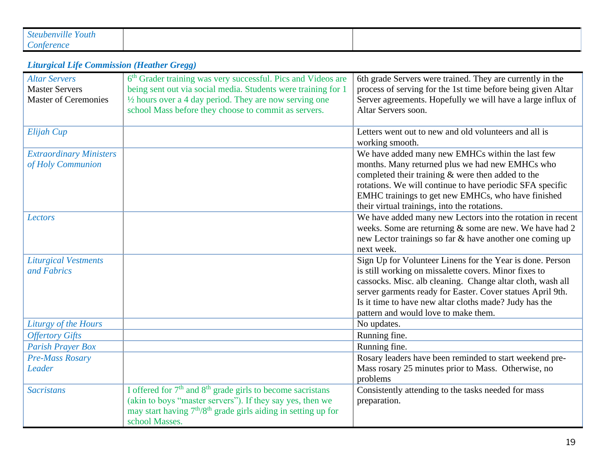| Steubenville Youth     |  |
|------------------------|--|
| $\therefore$ onterence |  |

#### *Liturgical Life Commission (Heather Gregg)*

| <b>Altar Servers</b><br><b>Master Servers</b><br><b>Master of Ceremonies</b> | 6 <sup>th</sup> Grader training was very successful. Pics and Videos are<br>being sent out via social media. Students were training for 1<br>$\frac{1}{2}$ hours over a 4 day period. They are now serving one<br>school Mass before they choose to commit as servers. | 6th grade Servers were trained. They are currently in the<br>process of serving for the 1st time before being given Altar<br>Server agreements. Hopefully we will have a large influx of<br>Altar Servers soon.                                                                                                                                  |
|------------------------------------------------------------------------------|------------------------------------------------------------------------------------------------------------------------------------------------------------------------------------------------------------------------------------------------------------------------|--------------------------------------------------------------------------------------------------------------------------------------------------------------------------------------------------------------------------------------------------------------------------------------------------------------------------------------------------|
| Elijah Cup                                                                   |                                                                                                                                                                                                                                                                        | Letters went out to new and old volunteers and all is<br>working smooth.                                                                                                                                                                                                                                                                         |
| <b>Extraordinary Ministers</b><br>of Holy Communion                          |                                                                                                                                                                                                                                                                        | We have added many new EMHCs within the last few<br>months. Many returned plus we had new EMHCs who<br>completed their training & were then added to the<br>rotations. We will continue to have periodic SFA specific<br>EMHC trainings to get new EMHCs, who have finished<br>their virtual trainings, into the rotations.                      |
| <b>Lectors</b>                                                               |                                                                                                                                                                                                                                                                        | We have added many new Lectors into the rotation in recent<br>weeks. Some are returning & some are new. We have had 2<br>new Lector trainings so far & have another one coming up<br>next week.                                                                                                                                                  |
| <b>Liturgical Vestments</b><br>and Fabrics                                   |                                                                                                                                                                                                                                                                        | Sign Up for Volunteer Linens for the Year is done. Person<br>is still working on missalette covers. Minor fixes to<br>cassocks. Misc. alb cleaning. Change altar cloth, wash all<br>server garments ready for Easter. Cover statues April 9th.<br>Is it time to have new altar cloths made? Judy has the<br>pattern and would love to make them. |
| Liturgy of the Hours                                                         |                                                                                                                                                                                                                                                                        | No updates.                                                                                                                                                                                                                                                                                                                                      |
| <b>Offertory Gifts</b><br><b>Parish Prayer Box</b>                           |                                                                                                                                                                                                                                                                        | Running fine.                                                                                                                                                                                                                                                                                                                                    |
| <b>Pre-Mass Rosary</b>                                                       |                                                                                                                                                                                                                                                                        | Running fine.<br>Rosary leaders have been reminded to start weekend pre-                                                                                                                                                                                                                                                                         |
| Leader                                                                       |                                                                                                                                                                                                                                                                        | Mass rosary 25 minutes prior to Mass. Otherwise, no<br>problems                                                                                                                                                                                                                                                                                  |
| <b>Sacristans</b>                                                            | I offered for 7 <sup>th</sup> and 8 <sup>th</sup> grade girls to become sacristans<br>(akin to boys "master servers"). If they say yes, then we<br>may start having 7 <sup>th</sup> /8 <sup>th</sup> grade girls aiding in setting up for<br>school Masses.            | Consistently attending to the tasks needed for mass<br>preparation.                                                                                                                                                                                                                                                                              |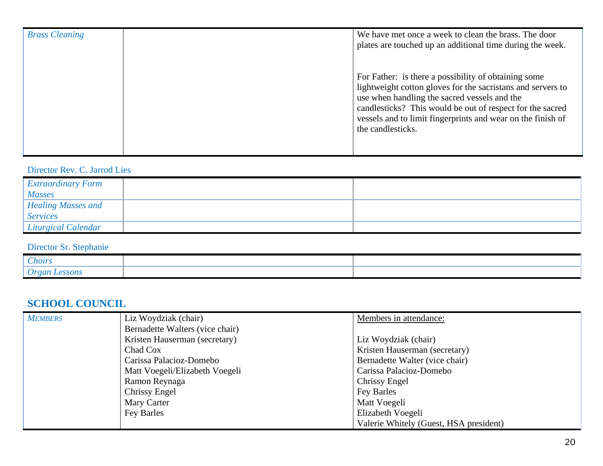| <b>Brass Cleaning</b> | We have met once a week to clean the brass. The door<br>plates are touched up an additional time during the week.                                                                                                                                                                                                    |
|-----------------------|----------------------------------------------------------------------------------------------------------------------------------------------------------------------------------------------------------------------------------------------------------------------------------------------------------------------|
|                       | For Father: is there a possibility of obtaining some<br>lightweight cotton gloves for the sacristans and servers to<br>use when handling the sacred vessels and the<br>candlesticks? This would be out of respect for the sacred<br>vessels and to limit fingerprints and wear on the finish of<br>the candlesticks. |

## Director Rev. C. Jarrod Lies

| <i>Extraordinary Form</i><br><b>Masses</b>   |  |
|----------------------------------------------|--|
| <b>Healing Masses and</b><br><b>Services</b> |  |
| Liturgical Calendar                          |  |

# Director Sr. Stephanie

| Choirs                               |  |
|--------------------------------------|--|
| <b>A</b> roar<br><i><b>SSONS</b></i> |  |

# **SCHOOL COUNCIL**

| <b>MEMBERS</b> | Liz Woydziak (chair)            | Members in attendance:                 |
|----------------|---------------------------------|----------------------------------------|
|                | Bernadette Walters (vice chair) |                                        |
|                | Kristen Hauserman (secretary)   | Liz Woydziak (chair)                   |
|                | Chad Cox                        | Kristen Hauserman (secretary)          |
|                | Carissa Palacioz-Domebo         | Bernadette Walter (vice chair)         |
|                | Matt Voegeli/Elizabeth Voegeli  | Carissa Palacioz-Domebo                |
|                | Ramon Reynaga                   | <b>Chrissy Engel</b>                   |
|                | Chrissy Engel                   | Fey Barles                             |
|                | Mary Carter                     | Matt Voegeli                           |
|                | Fey Barles                      | Elizabeth Voegeli                      |
|                |                                 | Valerie Whitely (Guest, HSA president) |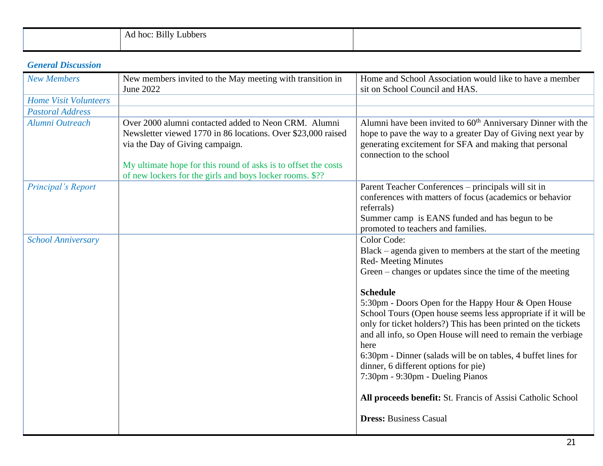| $\sim \cdot \cdot \cdot$<br>Ad hoc:<br>B <sub>1</sub><br>Lubbers |  |
|------------------------------------------------------------------|--|
|                                                                  |  |

#### *General Discussion*

| <b>New Members</b>           | New members invited to the May meeting with transition in                                                                                                                                                                                                                             | Home and School Association would like to have a member                                                                                                                                                                                                                                                                                                                                                                                                                                                                                                                                                                                                                                                |
|------------------------------|---------------------------------------------------------------------------------------------------------------------------------------------------------------------------------------------------------------------------------------------------------------------------------------|--------------------------------------------------------------------------------------------------------------------------------------------------------------------------------------------------------------------------------------------------------------------------------------------------------------------------------------------------------------------------------------------------------------------------------------------------------------------------------------------------------------------------------------------------------------------------------------------------------------------------------------------------------------------------------------------------------|
|                              | June 2022                                                                                                                                                                                                                                                                             | sit on School Council and HAS.                                                                                                                                                                                                                                                                                                                                                                                                                                                                                                                                                                                                                                                                         |
| <b>Home Visit Volunteers</b> |                                                                                                                                                                                                                                                                                       |                                                                                                                                                                                                                                                                                                                                                                                                                                                                                                                                                                                                                                                                                                        |
| <b>Pastoral Address</b>      |                                                                                                                                                                                                                                                                                       |                                                                                                                                                                                                                                                                                                                                                                                                                                                                                                                                                                                                                                                                                                        |
| Alumni Outreach              | Over 2000 alumni contacted added to Neon CRM. Alumni<br>Newsletter viewed 1770 in 86 locations. Over \$23,000 raised<br>via the Day of Giving campaign.<br>My ultimate hope for this round of asks is to offset the costs<br>of new lockers for the girls and boys locker rooms. \$?? | Alumni have been invited to 60 <sup>th</sup> Anniversary Dinner with the<br>hope to pave the way to a greater Day of Giving next year by<br>generating excitement for SFA and making that personal<br>connection to the school                                                                                                                                                                                                                                                                                                                                                                                                                                                                         |
| Principal's Report           |                                                                                                                                                                                                                                                                                       | Parent Teacher Conferences - principals will sit in<br>conferences with matters of focus (academics or behavior<br>referrals)<br>Summer camp is EANS funded and has begun to be<br>promoted to teachers and families.                                                                                                                                                                                                                                                                                                                                                                                                                                                                                  |
| <b>School Anniversary</b>    |                                                                                                                                                                                                                                                                                       | Color Code:<br>Black – agenda given to members at the start of the meeting<br><b>Red-Meeting Minutes</b><br>Green – changes or updates since the time of the meeting<br><b>Schedule</b><br>5:30pm - Doors Open for the Happy Hour & Open House<br>School Tours (Open house seems less appropriate if it will be<br>only for ticket holders?) This has been printed on the tickets<br>and all info, so Open House will need to remain the verbiage<br>here<br>6:30pm - Dinner (salads will be on tables, 4 buffet lines for<br>dinner, 6 different options for pie)<br>7:30pm - 9:30pm - Dueling Pianos<br>All proceeds benefit: St. Francis of Assisi Catholic School<br><b>Dress: Business Casual</b> |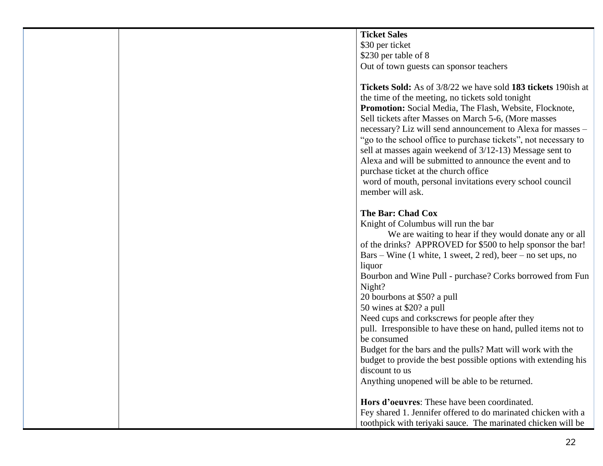**Ticket Sales** \$30 per ticket \$230 per table of 8 Out of town guests can sponsor teachers

**Tickets Sold:** As of 3/8/22 we have sold **183 tickets** 190ish at the time of the meeting, no tickets sold tonight **Promotion:** Social Media, The Flash, Website, Flocknote, Sell tickets after Masses on March 5-6, (More masses necessary? Liz will send announcement to Alexa for masses – "go to the school office to purchase tickets", not necessary to sell at masses again weekend of 3/12-13) Message sent to Alexa and will be submitted to announce the event and to purchase ticket at the church office word of mouth, personal invitations every school council member will ask.

#### **The Bar: Chad Cox**

Knight of Columbus will run the bar

We are waiting to hear if they would donate any or all of the drinks? APPROVED for \$500 to help sponsor the bar! Bars – Wine (1 white, 1 sweet, 2 red), beer – no set ups, no liquor Bourbon and Wine Pull - purchase? Corks borrowed from Fun Night? 20 bourbons at \$50? a pull 50 wines at \$20? a pull Need cups and corkscrews for people after they pull. Irresponsible to have these on hand, pulled items not to be consumed Budget for the bars and the pulls? Matt will work with the budget to provide the best possible options with extending his discount to us Anything unopened will be able to be returned. **Hors d'oeuvres**: These have been coordinated. Fey shared 1. Jennifer offered to do marinated chicken with a toothpick with teriyaki sauce. The marinated chicken will be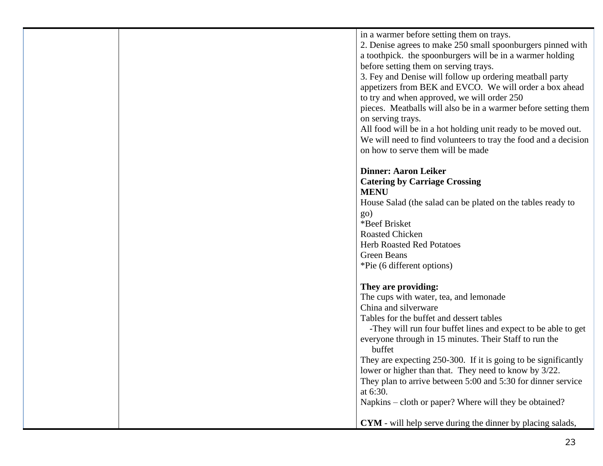| in a warmer before setting them on trays.<br>2. Denise agrees to make 250 small spoonburgers pinned with<br>a toothpick. the spoonburgers will be in a warmer holding<br>before setting them on serving trays.<br>3. Fey and Denise will follow up ordering meatball party<br>appetizers from BEK and EVCO. We will order a box ahead<br>to try and when approved, we will order 250<br>pieces. Meatballs will also be in a warmer before setting them |
|--------------------------------------------------------------------------------------------------------------------------------------------------------------------------------------------------------------------------------------------------------------------------------------------------------------------------------------------------------------------------------------------------------------------------------------------------------|
| on serving trays.<br>All food will be in a hot holding unit ready to be moved out.<br>We will need to find volunteers to tray the food and a decision<br>on how to serve them will be made                                                                                                                                                                                                                                                             |
|                                                                                                                                                                                                                                                                                                                                                                                                                                                        |
| <b>Dinner: Aaron Leiker</b>                                                                                                                                                                                                                                                                                                                                                                                                                            |
| <b>Catering by Carriage Crossing</b>                                                                                                                                                                                                                                                                                                                                                                                                                   |
| <b>MENU</b>                                                                                                                                                                                                                                                                                                                                                                                                                                            |
| House Salad (the salad can be plated on the tables ready to                                                                                                                                                                                                                                                                                                                                                                                            |
| <b>go</b> )<br>*Beef Brisket                                                                                                                                                                                                                                                                                                                                                                                                                           |
| <b>Roasted Chicken</b>                                                                                                                                                                                                                                                                                                                                                                                                                                 |
| <b>Herb Roasted Red Potatoes</b>                                                                                                                                                                                                                                                                                                                                                                                                                       |
| <b>Green Beans</b>                                                                                                                                                                                                                                                                                                                                                                                                                                     |
| *Pie (6 different options)                                                                                                                                                                                                                                                                                                                                                                                                                             |
| They are providing:                                                                                                                                                                                                                                                                                                                                                                                                                                    |
| The cups with water, tea, and lemonade                                                                                                                                                                                                                                                                                                                                                                                                                 |
| China and silverware                                                                                                                                                                                                                                                                                                                                                                                                                                   |
| Tables for the buffet and dessert tables                                                                                                                                                                                                                                                                                                                                                                                                               |
| -They will run four buffet lines and expect to be able to get<br>everyone through in 15 minutes. Their Staff to run the                                                                                                                                                                                                                                                                                                                                |
| buffet                                                                                                                                                                                                                                                                                                                                                                                                                                                 |
| They are expecting 250-300. If it is going to be significantly                                                                                                                                                                                                                                                                                                                                                                                         |
| lower or higher than that. They need to know by 3/22.                                                                                                                                                                                                                                                                                                                                                                                                  |
| They plan to arrive between 5:00 and 5:30 for dinner service<br>at 6:30.                                                                                                                                                                                                                                                                                                                                                                               |
| Napkins – cloth or paper? Where will they be obtained?                                                                                                                                                                                                                                                                                                                                                                                                 |
| <b>CYM</b> - will help serve during the dinner by placing salads,                                                                                                                                                                                                                                                                                                                                                                                      |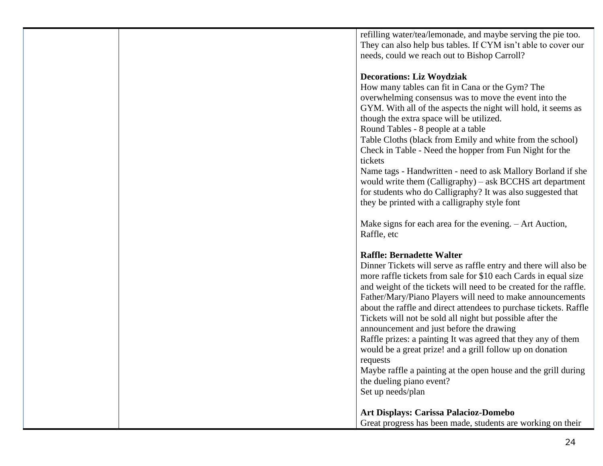refilling water/tea/lemonade, and maybe serving the pie too. They can also help bus tables. If CYM isn't able to cover our needs, could we reach out to Bishop Carroll?

#### **Decorations: Liz Woydziak**

How many tables can fit in Cana or the Gym? The overwhelming consensus was to move the event into the GYM. With all of the aspects the night will hold, it seems as though the extra space will be utilized.

Round Tables - 8 people at a table

Table Cloths (black from Emily and white from the school) Check in Table - Need the hopper from Fun Night for the tickets

Name tags - Handwritten - need to ask Mallory Borland if she would write them (Calligraphy) – ask BCCHS art department for students who do Calligraphy? It was also suggested that they be printed with a calligraphy style font

Make signs for each area for the evening. – Art Auction, Raffle, etc

## **Raffle: Bernadette Walter**

| imine, belhauche wane                                             |
|-------------------------------------------------------------------|
| Dinner Tickets will serve as raffle entry and there will also be  |
| more raffle tickets from sale for \$10 each Cards in equal size   |
| and weight of the tickets will need to be created for the raffle. |
| Father/Mary/Piano Players will need to make announcements         |
| about the raffle and direct attendees to purchase tickets. Raffle |
| Tickets will not be sold all night but possible after the         |
| announcement and just before the drawing                          |
| Raffle prizes: a painting It was agreed that they any of them     |
| would be a great prize! and a grill follow up on donation         |
| requests                                                          |
| Maybe raffle a painting at the open house and the grill during    |
| the dueling piano event?                                          |
| Set up needs/plan                                                 |
|                                                                   |
| <b>Art Displays: Carissa Palacioz-Domebo</b>                      |

Great progress has been made, students are working on their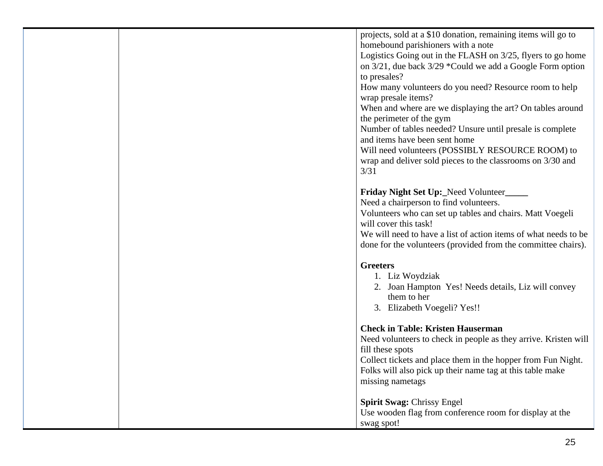projects, sold at a \$10 donation, remaining items will go to homebound parishioners with a note

Logistics Going out in the FLASH on 3/25, flyers to go home on 3/21, due back 3/29 \*Could we add a Google Form option to presales?

How many volunteers do you need? Resource room to help wrap presale items?

When and where are we displaying the art? On tables around the perimeter of the gym

Number of tables needed? Unsure until presale is complete and items have been sent home

Will need volunteers (POSSIBLY RESOURCE ROOM) to wrap and deliver sold pieces to the classrooms on 3/30 and 3/31

## **Friday Night Set Up:\_**Need Volunteer**\_\_\_\_\_**

Need a chairperson to find volunteers.

Volunteers who can set up tables and chairs. Matt Voegeli will cover this task!

We will need to have a list of action items of what needs to be done for the volunteers (provided from the committee chairs).

## **Greeters**

- 1. Liz Woydziak
- 2. Joan Hampton Yes! Needs details, Liz will convey them to her
- 3. Elizabeth Voegeli? Yes!!

# **Check in Table: Kristen Hauserman**

Need volunteers to check in people as they arrive. Kristen will fill these spots

Collect tickets and place them in the hopper from Fun Night. Folks will also pick up their name tag at this table make missing nametags

## **Spirit Swag:** Chrissy Engel

Use wooden flag from conference room for display at the swag spot!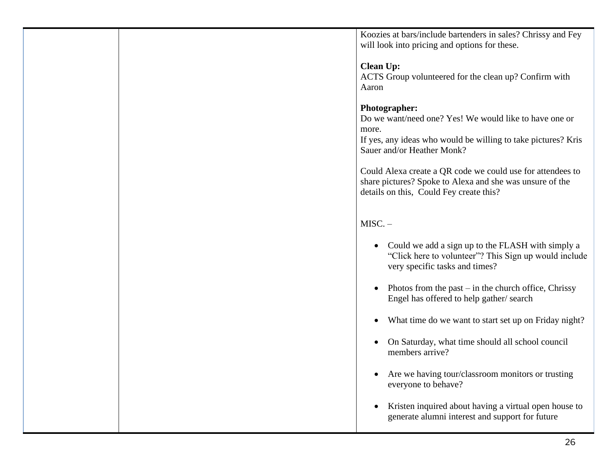Koozies at bars/include bartenders in sales? Chrissy and Fey will look into pricing and options for these.

#### **Clean Up:**

ACTS Group volunteered for the clean up? Confirm with Aaron

#### **Photographer:**

Do we want/need one? Yes! We would like to have one or more.

If yes, any ideas who would be willing to take pictures? Kris Sauer and/or Heather Monk?

Could Alexa create a QR code we could use for attendees to share pictures? Spoke to Alexa and she was unsure of the details on this, Could Fey create this?

# $MISC. -$

- Could we add a sign up to the FLASH with simply a "Click here to volunteer"? This Sign up would include very specific tasks and times?
- Photos from the past  $-$  in the church office, Chrissy Engel has offered to help gather/ search
- What time do we want to start set up on Friday night?
- On Saturday, what time should all school council members arrive?
- Are we having tour/classroom monitors or trusting everyone to behave?
- Kristen inquired about having a virtual open house to generate alumni interest and support for future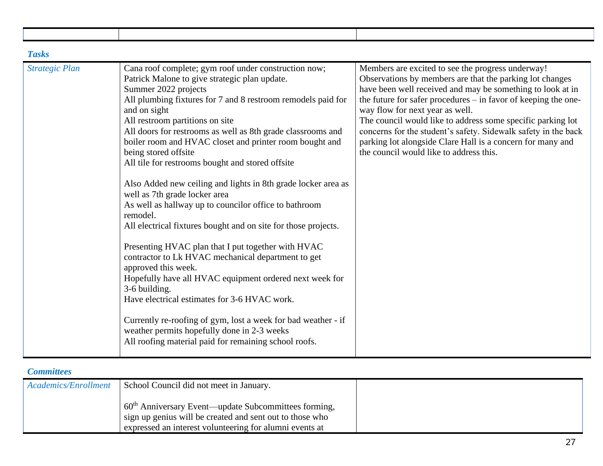| <b>Tasks</b>          |                                                                                                                                                                                                                                                                                                                                                                                                                                                                                                                                                                                                                                                                                                                                                                                                                                                                                                                                                                                                                                                                                                                                         |                                                                                                                                                                                                                                                                                                                                                                                                                                                                                                                            |
|-----------------------|-----------------------------------------------------------------------------------------------------------------------------------------------------------------------------------------------------------------------------------------------------------------------------------------------------------------------------------------------------------------------------------------------------------------------------------------------------------------------------------------------------------------------------------------------------------------------------------------------------------------------------------------------------------------------------------------------------------------------------------------------------------------------------------------------------------------------------------------------------------------------------------------------------------------------------------------------------------------------------------------------------------------------------------------------------------------------------------------------------------------------------------------|----------------------------------------------------------------------------------------------------------------------------------------------------------------------------------------------------------------------------------------------------------------------------------------------------------------------------------------------------------------------------------------------------------------------------------------------------------------------------------------------------------------------------|
| <b>Strategic Plan</b> | Cana roof complete; gym roof under construction now;<br>Patrick Malone to give strategic plan update.<br>Summer 2022 projects<br>All plumbing fixtures for 7 and 8 restroom remodels paid for<br>and on sight<br>All restroom partitions on site<br>All doors for restrooms as well as 8th grade classrooms and<br>boiler room and HVAC closet and printer room bought and<br>being stored offsite<br>All tile for restrooms bought and stored offsite<br>Also Added new ceiling and lights in 8th grade locker area as<br>well as 7th grade locker area<br>As well as hallway up to councilor office to bathroom<br>remodel.<br>All electrical fixtures bought and on site for those projects.<br>Presenting HVAC plan that I put together with HVAC<br>contractor to Lk HVAC mechanical department to get<br>approved this week.<br>Hopefully have all HVAC equipment ordered next week for<br>3-6 building.<br>Have electrical estimates for 3-6 HVAC work.<br>Currently re-roofing of gym, lost a week for bad weather - if<br>weather permits hopefully done in 2-3 weeks<br>All roofing material paid for remaining school roofs. | Members are excited to see the progress underway!<br>Observations by members are that the parking lot changes<br>have been well received and may be something to look at in<br>the future for safer procedures - in favor of keeping the one-<br>way flow for next year as well.<br>The council would like to address some specific parking lot<br>concerns for the student's safety. Sidewalk safety in the back<br>parking lot alongside Clare Hall is a concern for many and<br>the council would like to address this. |

#### *Committees*

| Academics/Enrollment | School Council did not meet in January.                                                                                                                                                 |  |
|----------------------|-----------------------------------------------------------------------------------------------------------------------------------------------------------------------------------------|--|
|                      | 60 <sup>th</sup> Anniversary Event—update Subcommittees forming,<br>sign up genius will be created and sent out to those who<br>expressed an interest volunteering for alumni events at |  |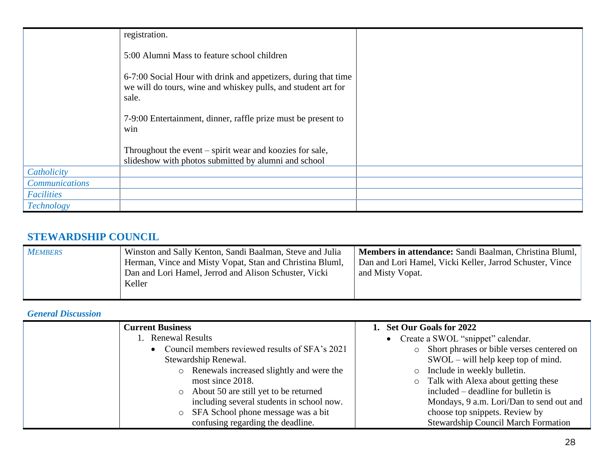|                       | registration.                                                                                                                            |  |
|-----------------------|------------------------------------------------------------------------------------------------------------------------------------------|--|
|                       | 5:00 Alumni Mass to feature school children                                                                                              |  |
|                       | 6-7:00 Social Hour with drink and appetizers, during that time<br>we will do tours, wine and whiskey pulls, and student art for<br>sale. |  |
|                       | 7-9:00 Entertainment, dinner, raffle prize must be present to<br>win                                                                     |  |
|                       | Throughout the event – spirit wear and koozies for sale,<br>slideshow with photos submitted by alumni and school                         |  |
| Catholicity           |                                                                                                                                          |  |
| <b>Communications</b> |                                                                                                                                          |  |
| Facilities            |                                                                                                                                          |  |
| Technology            |                                                                                                                                          |  |

# **STEWARDSHIP COUNCIL**

| <b>MEMBERS</b> | Winston and Sally Kenton, Sandi Baalman, Steve and Julia<br>Herman, Vince and Misty Vopat, Stan and Christina Bluml,<br>Dan and Lori Hamel, Jerrod and Alison Schuster, Vicki<br>Keller | Members in attendance: Sandi Baalman, Christina Bluml,<br>Dan and Lori Hamel, Vicki Keller, Jarrod Schuster, Vince<br>and Misty Vopat. |
|----------------|-----------------------------------------------------------------------------------------------------------------------------------------------------------------------------------------|----------------------------------------------------------------------------------------------------------------------------------------|
|----------------|-----------------------------------------------------------------------------------------------------------------------------------------------------------------------------------------|----------------------------------------------------------------------------------------------------------------------------------------|

## *General Discussion*

| <b>Current Business</b> |                                                  | 1. Set Our Goals for 2022                   |
|-------------------------|--------------------------------------------------|---------------------------------------------|
| 1. Renewal Results      |                                                  | • Create a SWOL "snippet" calendar.         |
|                         | • Council members reviewed results of SFA's 2021 | o Short phrases or bible verses centered on |
| Stewardship Renewal.    |                                                  | $SWOL - will help keep top of mind.$        |
|                         | o Renewals increased slightly and were the       | o Include in weekly bulletin.               |
|                         | most since 2018.                                 | o Talk with Alexa about getting these       |
| $\circ$                 | About 50 are still yet to be returned            | included – deadline for bulletin is         |
|                         | including several students in school now.        | Mondays, 9 a.m. Lori/Dan to send out and    |
| $\circ$                 | SFA School phone message was a bit               | choose top snippets. Review by              |
|                         | confusing regarding the deadline.                | Stewardship Council March Formation         |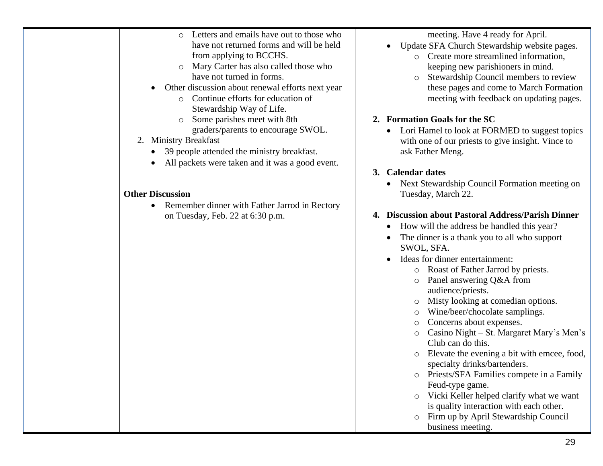| $\cap$ | Letters and emails have out to those who |
|--------|------------------------------------------|
|        | have not returned forms and will be held |
|        | from applying to BCCHS.                  |

- o Mary Carter has also called those who have not turned in forms.
- Other discussion about renewal efforts next year
	- o Continue efforts for education of Stewardship Way of Life.
	- o Some parishes meet with 8th graders/parents to encourage SWOL.
- 2. Ministry Breakfast
	- 39 people attended the ministry breakfast.
	- All packets were taken and it was a good event.

## **Other Discussion**

• Remember dinner with Father Jarrod in Rectory on Tuesday, Feb. 22 at 6:30 p.m.

meeting. Have 4 ready for April.

- Update SFA Church Stewardship website pages.
	- o Create more streamlined information, keeping new parishioners in mind.
	- o Stewardship Council members to review these pages and come to March Formation meeting with feedback on updating pages.

# **2. Formation Goals for the SC**

• Lori Hamel to look at FORMED to suggest topics with one of our priests to give insight. Vince to ask Father Meng.

# **3. Calendar dates**

• Next Stewardship Council Formation meeting on Tuesday, March 22.

# **4. Discussion about Pastoral Address/Parish Dinner**

- How will the address be handled this year?
- The dinner is a thank you to all who support SWOL, SFA.
- Ideas for dinner entertainment:
	- o Roast of Father Jarrod by priests.
	- o Panel answering Q&A from audience/priests.
	- o Misty looking at comedian options.
	- o Wine/beer/chocolate samplings.
	- o Concerns about expenses.
	- o Casino Night St. Margaret Mary's Men's Club can do this.
	- o Elevate the evening a bit with emcee, food, specialty drinks/bartenders.
	- o Priests/SFA Families compete in a Family Feud-type game.
	- o Vicki Keller helped clarify what we want is quality interaction with each other.
	- o Firm up by April Stewardship Council business meeting.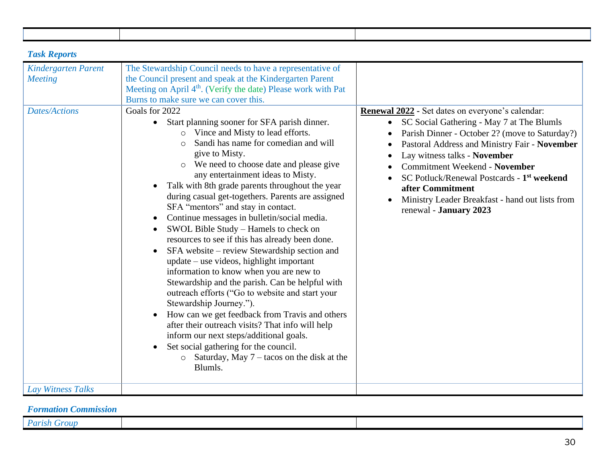| <b>Task Reports</b>                          |                                                                                                                                                                                                                                                                                                                                                                                                                                                                                                                                                                                                                                                                                                                                                                                                                                                                                                                                                                                                                                                                                                                                                           |                                                                                                                                                                                                                                                                                                                                                                                                                                                  |
|----------------------------------------------|-----------------------------------------------------------------------------------------------------------------------------------------------------------------------------------------------------------------------------------------------------------------------------------------------------------------------------------------------------------------------------------------------------------------------------------------------------------------------------------------------------------------------------------------------------------------------------------------------------------------------------------------------------------------------------------------------------------------------------------------------------------------------------------------------------------------------------------------------------------------------------------------------------------------------------------------------------------------------------------------------------------------------------------------------------------------------------------------------------------------------------------------------------------|--------------------------------------------------------------------------------------------------------------------------------------------------------------------------------------------------------------------------------------------------------------------------------------------------------------------------------------------------------------------------------------------------------------------------------------------------|
| <b>Kindergarten Parent</b><br><b>Meeting</b> | The Stewardship Council needs to have a representative of<br>the Council present and speak at the Kindergarten Parent<br>Meeting on April 4 <sup>th</sup> . (Verify the date) Please work with Pat<br>Burns to make sure we can cover this.                                                                                                                                                                                                                                                                                                                                                                                                                                                                                                                                                                                                                                                                                                                                                                                                                                                                                                               |                                                                                                                                                                                                                                                                                                                                                                                                                                                  |
| <b>Dates/Actions</b>                         | Goals for 2022<br>Start planning sooner for SFA parish dinner.<br>$\bullet$<br>o Vince and Misty to lead efforts.<br>Sandi has name for comedian and will<br>give to Misty.<br>o We need to choose date and please give<br>any entertainment ideas to Misty.<br>Talk with 8th grade parents throughout the year<br>$\bullet$<br>during casual get-togethers. Parents are assigned<br>SFA "mentors" and stay in contact.<br>Continue messages in bulletin/social media.<br>$\bullet$<br>SWOL Bible Study - Hamels to check on<br>$\bullet$<br>resources to see if this has already been done.<br>SFA website – review Stewardship section and<br>update – use videos, highlight important<br>information to know when you are new to<br>Stewardship and the parish. Can be helpful with<br>outreach efforts ("Go to website and start your<br>Stewardship Journey.").<br>How can we get feedback from Travis and others<br>$\bullet$<br>after their outreach visits? That info will help<br>inform our next steps/additional goals.<br>Set social gathering for the council.<br>$\bullet$<br>$\circ$ Saturday, May 7 – tacos on the disk at the<br>Blumls. | Renewal 2022 - Set dates on everyone's calendar:<br>SC Social Gathering - May 7 at The Blumls<br>$\bullet$<br>Parish Dinner - October 2? (move to Saturday?)<br>Pastoral Address and Ministry Fair - November<br>Lay witness talks - November<br><b>Commitment Weekend - November</b><br>SC Potluck/Renewal Postcards - 1 <sup>st</sup> weekend<br>after Commitment<br>Ministry Leader Breakfast - hand out lists from<br>renewal - January 2023 |
| Lay Witness Talks                            |                                                                                                                                                                                                                                                                                                                                                                                                                                                                                                                                                                                                                                                                                                                                                                                                                                                                                                                                                                                                                                                                                                                                                           |                                                                                                                                                                                                                                                                                                                                                                                                                                                  |

*Formation Commission*

*Parish Group*